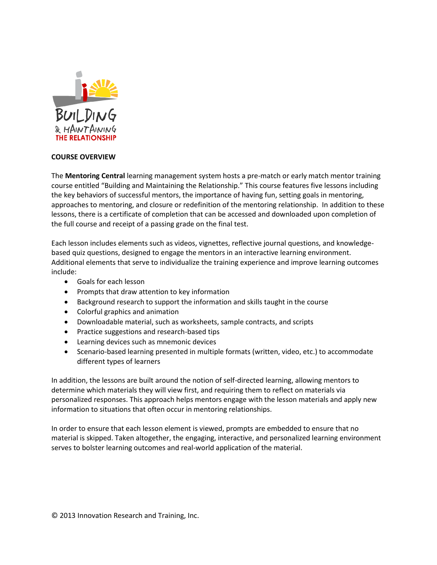

## **COURSE OVERVIEW**

The **Mentoring Central** learning management system hosts a pre-match or early match mentor training course entitled "Building and Maintaining the Relationship." This course features five lessons including the key behaviors of successful mentors, the importance of having fun, setting goals in mentoring, approaches to mentoring, and closure or redefinition of the mentoring relationship. In addition to these lessons, there is a certificate of completion that can be accessed and downloaded upon completion of the full course and receipt of a passing grade on the final test.

Each lesson includes elements such as videos, vignettes, reflective journal questions, and knowledgebased quiz questions, designed to engage the mentors in an interactive learning environment. Additional elements that serve to individualize the training experience and improve learning outcomes include:

- Goals for each lesson
- Prompts that draw attention to key information
- Background research to support the information and skills taught in the course
- Colorful graphics and animation
- Downloadable material, such as worksheets, sample contracts, and scripts
- Practice suggestions and research-based tips
- Learning devices such as mnemonic devices
- Scenario-based learning presented in multiple formats (written, video, etc.) to accommodate different types of learners

In addition, the lessons are built around the notion of self-directed learning, allowing mentors to determine which materials they will view first, and requiring them to reflect on materials via personalized responses. This approach helps mentors engage with the lesson materials and apply new information to situations that often occur in mentoring relationships.

In order to ensure that each lesson element is viewed, prompts are embedded to ensure that no material is skipped. Taken altogether, the engaging, interactive, and personalized learning environment serves to bolster learning outcomes and real-world application of the material.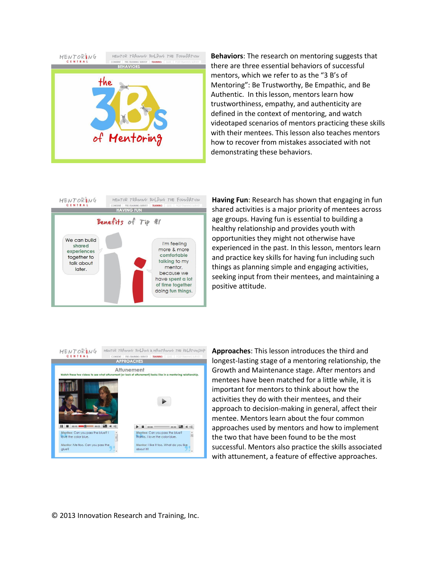

**Behaviors**: The research on mentoring suggests that there are three essential behaviors of successful mentors, which we refer to as the "3 B's of Mentoring": Be Trustworthy, Be Empathic, and Be Authentic. In this lesson, mentors learn how trustworthiness, empathy, and authenticity are defined in the context of mentoring, and watch videotaped scenarios of mentors practicing these skills with their mentees. This lesson also teaches mentors how to recover from mistakes associated with not demonstrating these behaviors.



**Having Fun**: Research has shown that engaging in fun shared activities is a major priority of mentees across age groups. Having fun is essential to building a healthy relationship and provides youth with opportunities they might not otherwise have experienced in the past. In this lesson, mentors learn and practice key skills for having fun including such things as planning simple and engaging activities, seeking input from their mentees, and maintaining a positive attitude.



**Approaches**: This lesson introduces the third and longest-lasting stage of a mentoring relationship, the Growth and Maintenance stage. After mentors and mentees have been matched for a little while, it is important for mentors to think about how the activities they do with their mentees, and their approach to decision-making in general, affect their mentee. Mentors learn about the four common approaches used by mentors and how to implement the two that have been found to be the most successful. Mentors also practice the skills associated with attunement, a feature of effective approaches.